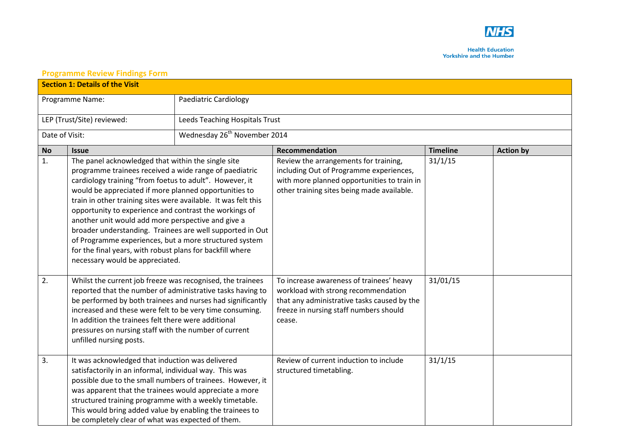

**Health Education Yorkshire and the Humber** 

## **Section 1: Details of the Visit**  Programme Name: Programme Name: Paediatric Cardiology LEP (Trust/Site) reviewed: Leeds Teaching Hospitals Trust Date of Visit: Wednesday 26<sup>th</sup> November 2014 **No Issue Recommendation Timeline Action by** 1. The panel acknowledged that within the single site programme trainees received a wide range of paediatric cardiology training "from foetus to adult". However, it would be appreciated if more planned opportunities to train in other training sites were available. It was felt this opportunity to experience and contrast the workings of another unit would add more perspective and give a broader understanding. Trainees are well supported in Out of Programme experiences, but a more structured system for the final years, with robust plans for backfill where necessary would be appreciated. Review the arrangements for training, including Out of Programme experiences, with more planned opportunities to train in other training sites being made available. 31/1/15 2. Whilst the current job freeze was recognised, the trainees reported that the number of administrative tasks having to be performed by both trainees and nurses had significantly increased and these were felt to be very time consuming. In addition the trainees felt there were additional pressures on nursing staff with the number of current unfilled nursing posts. To increase awareness of trainees' heavy workload with strong recommendation that any administrative tasks caused by the freeze in nursing staff numbers should cease. 31/01/15 3. It was acknowledged that induction was delivered satisfactorily in an informal, individual way. This was possible due to the small numbers of trainees. However, it was apparent that the trainees would appreciate a more structured training programme with a weekly timetable. This would bring added value by enabling the trainees to be completely clear of what was expected of them. Review of current induction to include structured timetabling. 31/1/15

## **Programme Review Findings Form**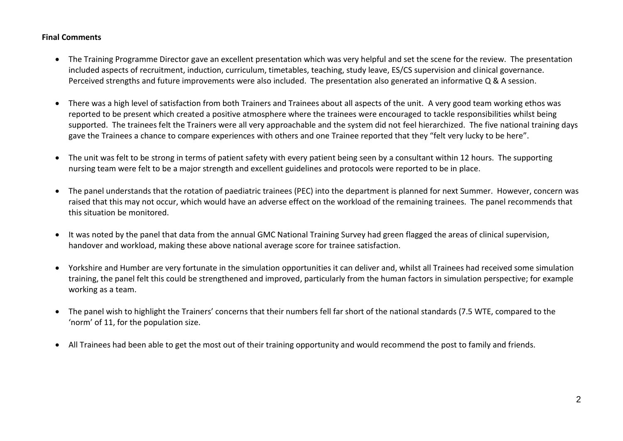## **Final Comments**

- The Training Programme Director gave an excellent presentation which was very helpful and set the scene for the review. The presentation included aspects of recruitment, induction, curriculum, timetables, teaching, study leave, ES/CS supervision and clinical governance. Perceived strengths and future improvements were also included. The presentation also generated an informative Q & A session.
- There was a high level of satisfaction from both Trainers and Trainees about all aspects of the unit. A very good team working ethos was reported to be present which created a positive atmosphere where the trainees were encouraged to tackle responsibilities whilst being supported. The trainees felt the Trainers were all very approachable and the system did not feel hierarchized. The five national training days gave the Trainees a chance to compare experiences with others and one Trainee reported that they "felt very lucky to be here".
- The unit was felt to be strong in terms of patient safety with every patient being seen by a consultant within 12 hours. The supporting nursing team were felt to be a major strength and excellent guidelines and protocols were reported to be in place.
- The panel understands that the rotation of paediatric trainees (PEC) into the department is planned for next Summer. However, concern was raised that this may not occur, which would have an adverse effect on the workload of the remaining trainees. The panel recommends that this situation be monitored.
- It was noted by the panel that data from the annual GMC National Training Survey had green flagged the areas of clinical supervision, handover and workload, making these above national average score for trainee satisfaction.
- Yorkshire and Humber are very fortunate in the simulation opportunities it can deliver and, whilst all Trainees had received some simulation training, the panel felt this could be strengthened and improved, particularly from the human factors in simulation perspective; for example working as a team.
- The panel wish to highlight the Trainers' concerns that their numbers fell far short of the national standards (7.5 WTE, compared to the 'norm' of 11, for the population size.
- All Trainees had been able to get the most out of their training opportunity and would recommend the post to family and friends.